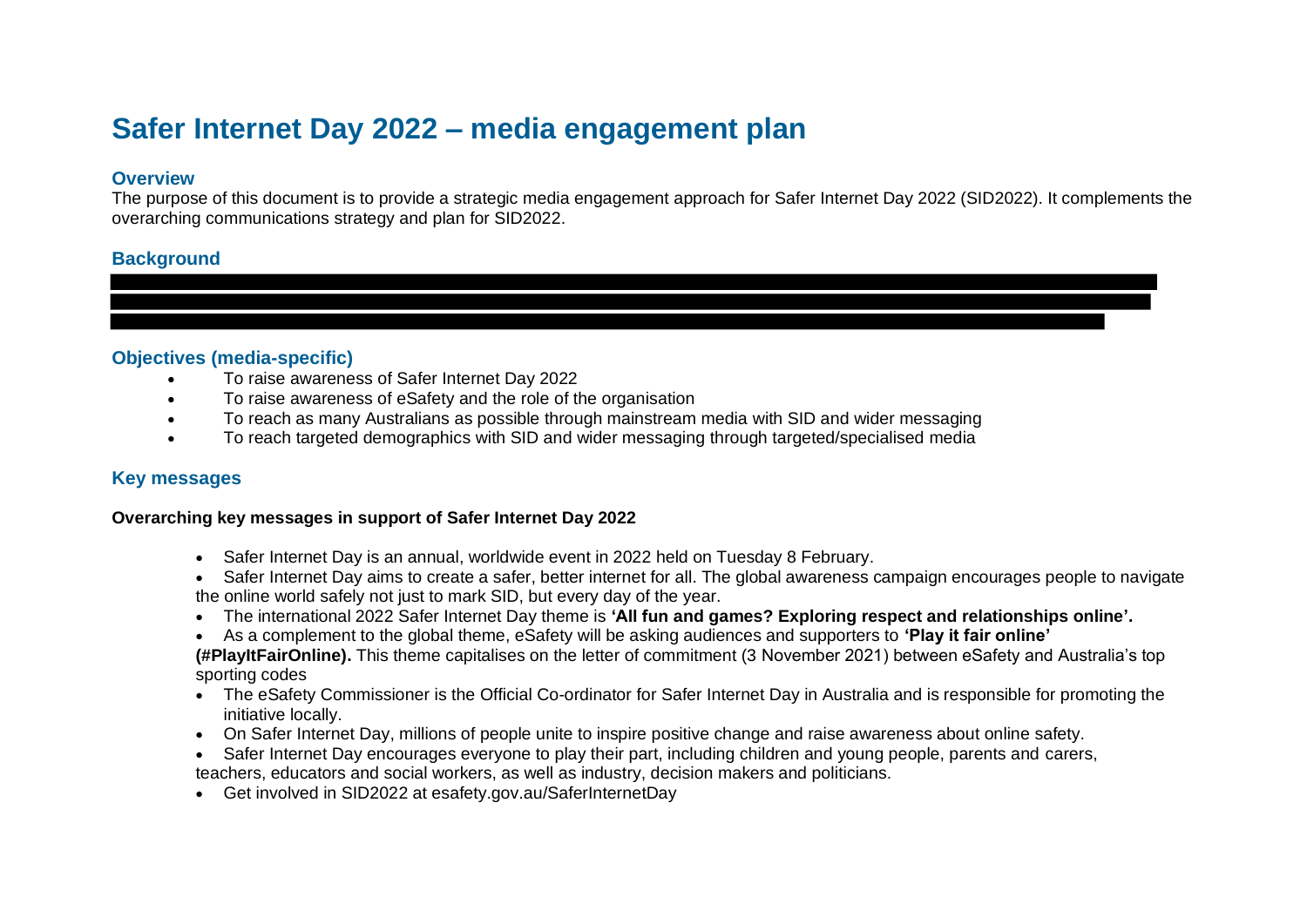# **Safer Internet Day 2022 – media engagement plan**

#### **Overview**

The purpose of this document is to provide a strategic media engagement approach for Safer Internet Day 2022 (SID2022). It complements the overarching communications strategy and plan for SID2022.

## **Background**

## **Objectives (media-specific)**

- To raise awareness of Safer Internet Day 2022
- To raise awareness of eSafety and the role of the organisation
- To reach as many Australians as possible through mainstream media with SID and wider messaging
- To reach targeted demographics with SID and wider messaging through targeted/specialised media

# **Key messages**

#### **Overarching key messages in support of Safer Internet Day 2022**

- Safer Internet Day is an annual, worldwide event in 2022 held on Tuesday 8 February.
- Safer Internet Day aims to create a safer, better internet for all. The global awareness campaign encourages people to navigate the online world safely not just to mark SID, but every day of the year.
- The international 2022 Safer Internet Day theme is **'All fun and games? Exploring respect and relationships online'.**
- As a complement to the global theme, eSafety will be asking audiences and supporters to **'Play it fair online'**

**(#PlayItFairOnline).** This theme capitalises on the letter of commitment (3 November 2021) between eSafety and Australia's top sporting codes

- The eSafety Commissioner is the Official Co-ordinator for Safer Internet Day in Australia and is responsible for promoting the initiative locally.
- On Safer Internet Day, millions of people unite to inspire positive change and raise awareness about online safety.
- Safer Internet Day encourages everyone to play their part, including children and young people, parents and carers,

teachers, educators and social workers, as well as industry, decision makers and politicians.

• Get involved in SID2022 at esafety.gov.au/SaferInternetDay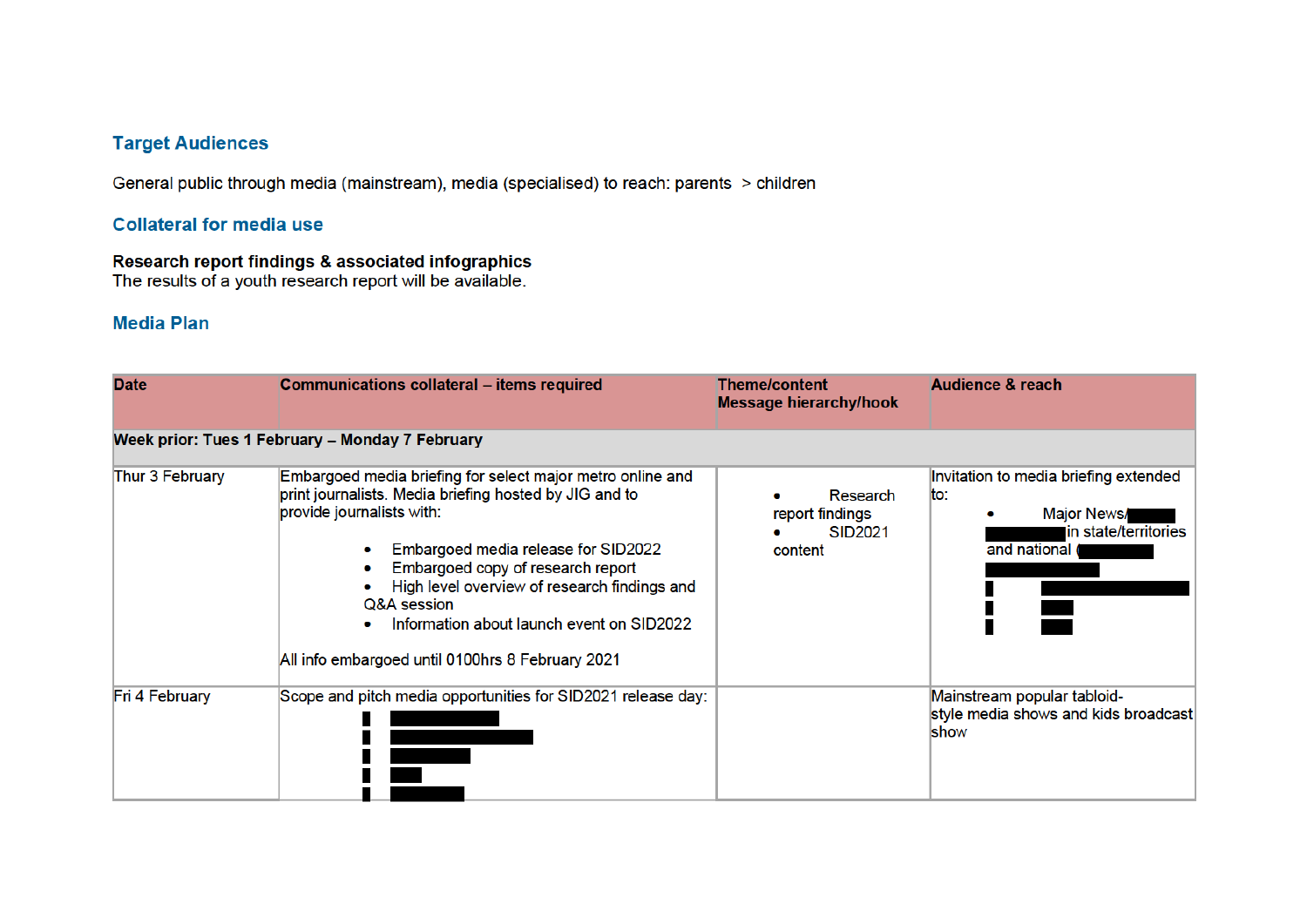# **Target Audiences**

General public through media (mainstream), media (specialised) to reach: parents > children

# **Collateral for media use**

## Research report findings & associated infographics

The results of a youth research report will be available.

## **Media Plan**

| <b>Date</b>                                     | <b>Communications collateral - items required</b>                                                                                                                                                                                                                                                                                                                                                  | <b>Theme/content</b><br><b>Message hierarchy/hook</b>    | <b>Audience &amp; reach</b>                                                                          |  |  |
|-------------------------------------------------|----------------------------------------------------------------------------------------------------------------------------------------------------------------------------------------------------------------------------------------------------------------------------------------------------------------------------------------------------------------------------------------------------|----------------------------------------------------------|------------------------------------------------------------------------------------------------------|--|--|
| Week prior: Tues 1 February - Monday 7 February |                                                                                                                                                                                                                                                                                                                                                                                                    |                                                          |                                                                                                      |  |  |
| Thur 3 February                                 | Embargoed media briefing for select major metro online and<br>print journalists. Media briefing hosted by JIG and to<br>provide journalists with:<br>Embargoed media release for SID2022<br>Embargoed copy of research report<br>۰<br>High level overview of research findings and<br>Q&A session<br>Information about launch event on SID2022<br>All info embargoed until 0100hrs 8 February 2021 | Research<br>report findings<br><b>SID2021</b><br>content | Invitation to media briefing extended<br>lto:<br>Major News/<br>in state/territories<br>and national |  |  |
| Fri 4 February                                  | Scope and pitch media opportunities for SID2021 release day:                                                                                                                                                                                                                                                                                                                                       |                                                          | Mainstream popular tabloid-<br>style media shows and kids broadcast<br>show                          |  |  |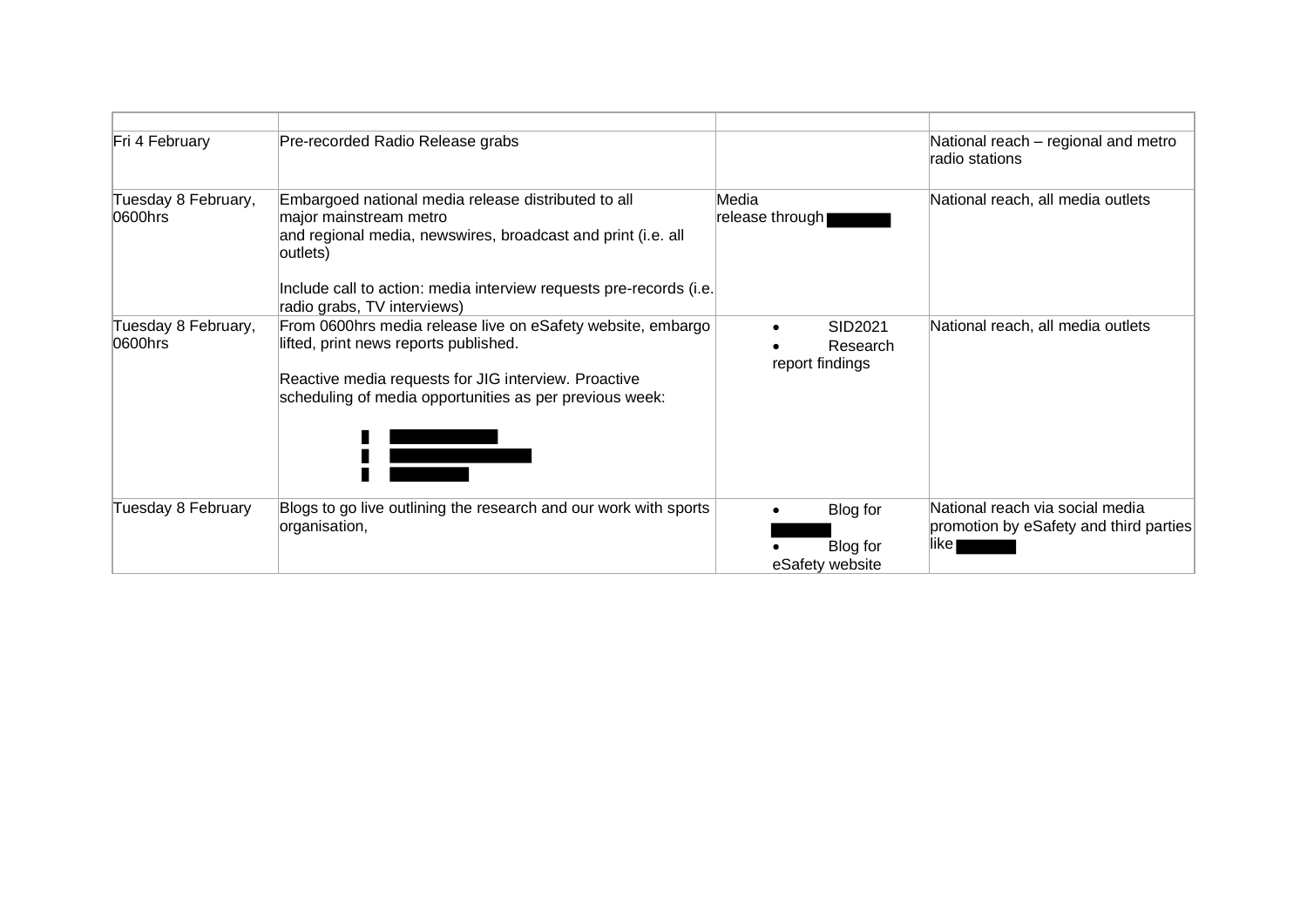| Fri 4 February                 | Pre-recorded Radio Release grabs                                                                                                                                                                                                                               |                                         | National reach - regional and metro<br>radio stations                               |
|--------------------------------|----------------------------------------------------------------------------------------------------------------------------------------------------------------------------------------------------------------------------------------------------------------|-----------------------------------------|-------------------------------------------------------------------------------------|
| Tuesday 8 February,<br>0600hrs | Embargoed national media release distributed to all<br>major mainstream metro<br>and regional media, newswires, broadcast and print (i.e. all<br>outlets)<br>Include call to action: media interview requests pre-records (i.e.<br>radio grabs, TV interviews) | Media<br>release through                | National reach, all media outlets                                                   |
| Tuesday 8 February,<br>0600hrs | From 0600hrs media release live on eSafety website, embargo<br>lifted, print news reports published.<br>Reactive media requests for JIG interview. Proactive<br>scheduling of media opportunities as per previous week:                                        | SID2021<br>Research<br>report findings  | National reach, all media outlets                                                   |
| Tuesday 8 February             | Blogs to go live outlining the research and our work with sports<br>organisation,                                                                                                                                                                              | Blog for<br>Blog for<br>eSafety website | National reach via social media<br>promotion by eSafety and third parties<br>like l |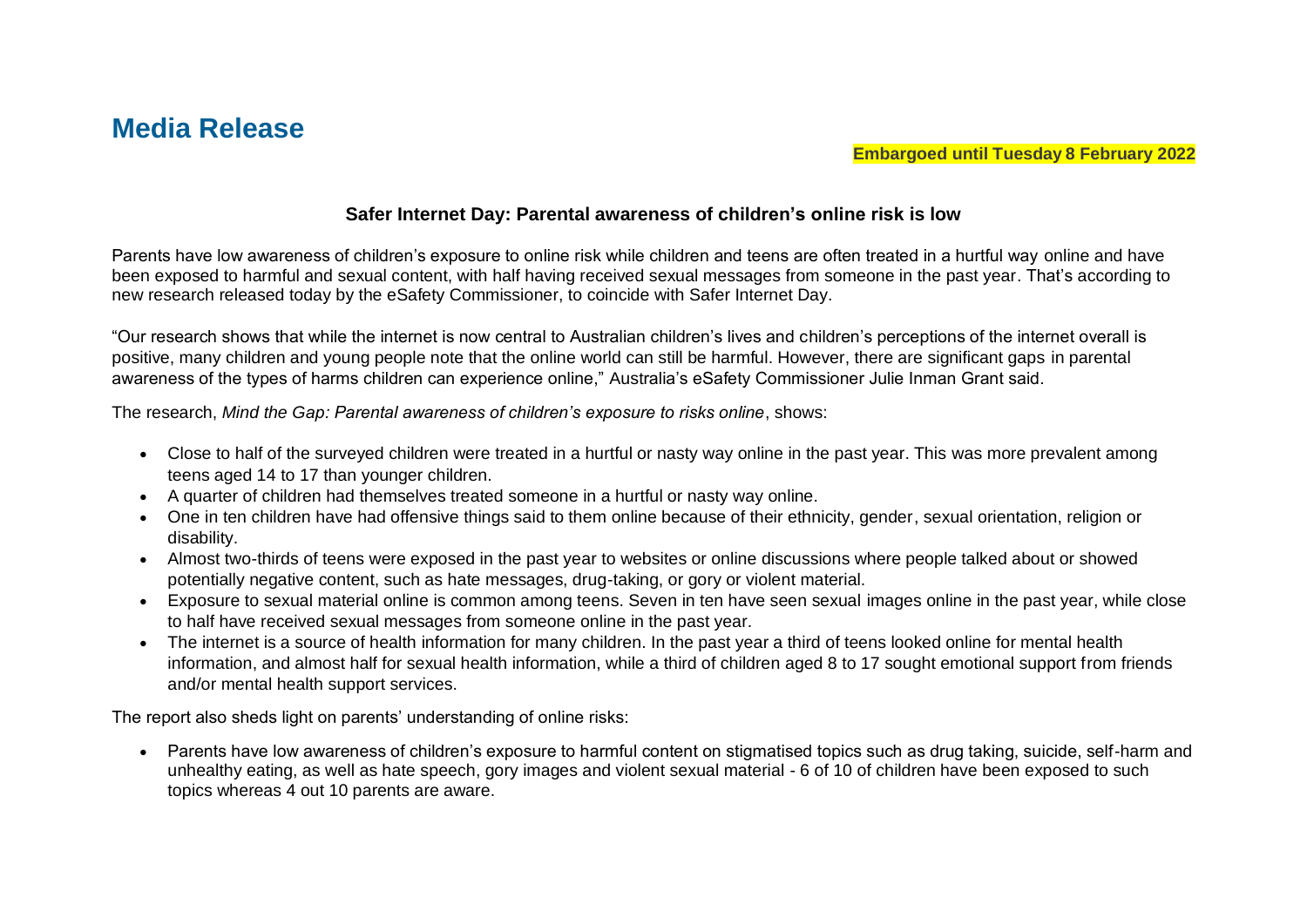# **Safer Internet Day: Parental awareness of children's online risk is low**

Parents have low awareness of children's exposure to online risk while children and teens are often treated in a hurtful way online and have been exposed to harmful and sexual content, with half having received sexual messages from someone in the past year. That's according to new research released today by the eSafety Commissioner, to coincide with Safer Internet Day.

"Our research shows that while the internet is now central to Australian children's lives and children's perceptions of the internet overall is positive, many children and young people note that the online world can still be harmful. However, there are significant gaps in parental awareness of the types of harms children can experience online," Australia's eSafety Commissioner Julie Inman Grant said.

The research, *Mind the Gap: Parental awareness of children's exposure to risks online*, shows:

- Close to half of the surveyed children were treated in a hurtful or nasty way online in the past year. This was more prevalent among teens aged 14 to 17 than younger children.
- A quarter of children had themselves treated someone in a hurtful or nasty way online.
- One in ten children have had offensive things said to them online because of their ethnicity, gender, sexual orientation, religion or disability.
- Almost two-thirds of teens were exposed in the past year to websites or online discussions where people talked about or showed potentially negative content, such as hate messages, drug-taking, or gory or violent material.
- Exposure to sexual material online is common among teens. Seven in ten have seen sexual images online in the past year, while close to half have received sexual messages from someone online in the past year.
- The internet is a source of health information for many children. In the past year a third of teens looked online for mental health information, and almost half for sexual health information, while a third of children aged 8 to 17 sought emotional support from friends and/or mental health support services.

The report also sheds light on parents' understanding of online risks:

• Parents have low awareness of children's exposure to harmful content on stigmatised topics such as drug taking, suicide, self-harm and unhealthy eating, as well as hate speech, gory images and violent sexual material - 6 of 10 of children have been exposed to such topics whereas 4 out 10 parents are aware.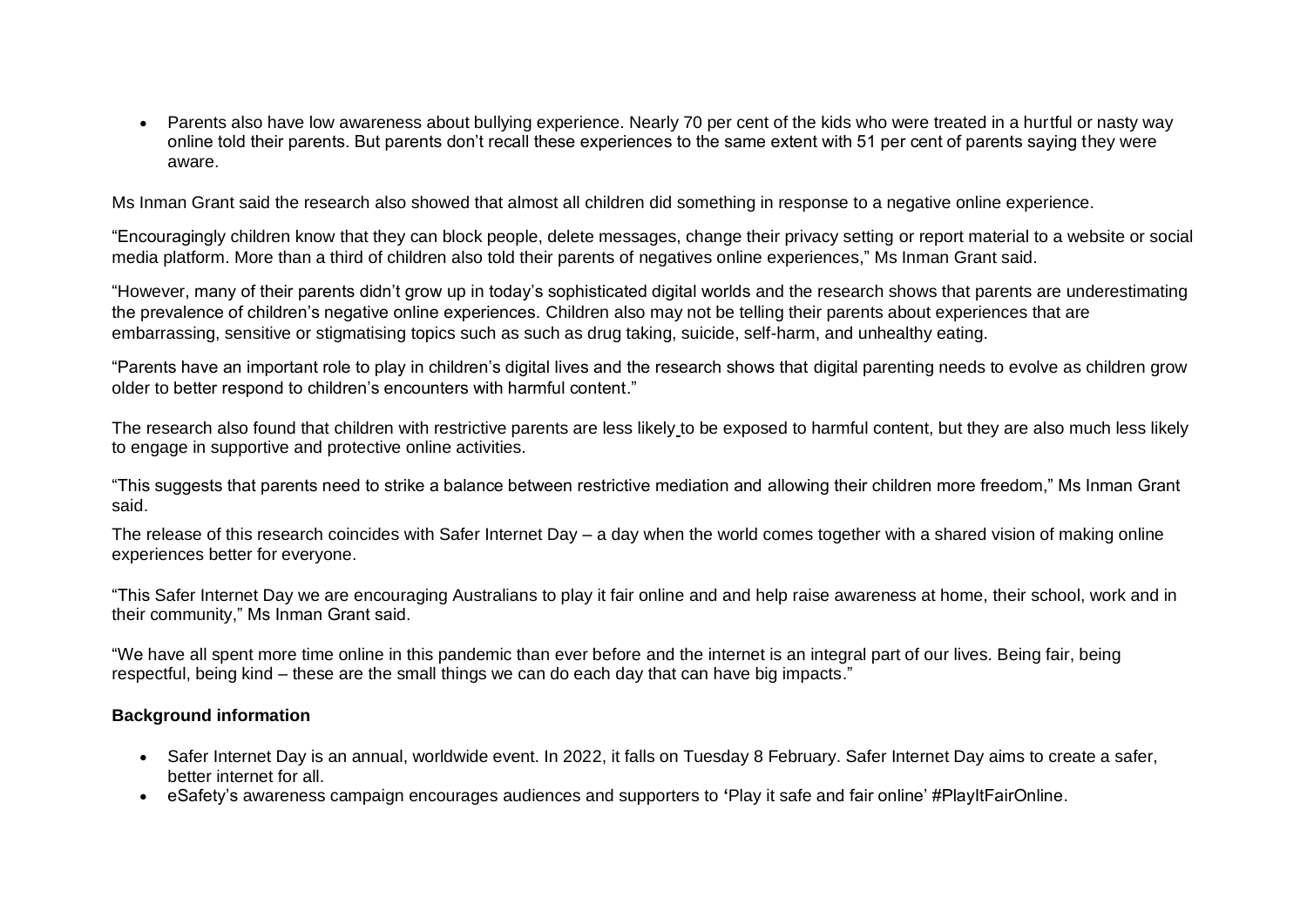• Parents also have low awareness about bullying experience. Nearly 70 per cent of the kids who were treated in a hurtful or nasty way online told their parents. But parents don't recall these experiences to the same extent with 51 per cent of parents saying they were aware.

Ms Inman Grant said the research also showed that almost all children did something in response to a negative online experience.

"Encouragingly children know that they can block people, delete messages, change their privacy setting or report material to a website or social media platform. More than a third of children also told their parents of negatives online experiences," Ms Inman Grant said.

"However, many of their parents didn't grow up in today's sophisticated digital worlds and the research shows that parents are underestimating the prevalence of children's negative online experiences. Children also may not be telling their parents about experiences that are embarrassing, sensitive or stigmatising topics such as such as drug taking, suicide, self-harm, and unhealthy eating.

"Parents have an important role to play in children's digital lives and the research shows that digital parenting needs to evolve as children grow older to better respond to children's encounters with harmful content."

The research also found that children with restrictive parents are less likely to be exposed to harmful content, but they are also much less likely to engage in supportive and protective online activities.

"This suggests that parents need to strike a balance between restrictive mediation and allowing their children more freedom," Ms Inman Grant said.

The release of this research coincides with Safer Internet Day – a day when the world comes together with a shared vision of making online experiences better for everyone.

"This Safer Internet Day we are encouraging Australians to play it fair online and and help raise awareness at home, their school, work and in their community," Ms Inman Grant said.

"We have all spent more time online in this pandemic than ever before and the internet is an integral part of our lives. Being fair, being respectful, being kind – these are the small things we can do each day that can have big impacts."

## **Background information**

- Safer Internet Day is an annual, worldwide event. In 2022, it falls on Tuesday 8 February. Safer Internet Day aims to create a safer, better internet for all.
- eSafety's awareness campaign encourages audiences and supporters to **'**Play it safe and fair online' #PlayItFairOnline.